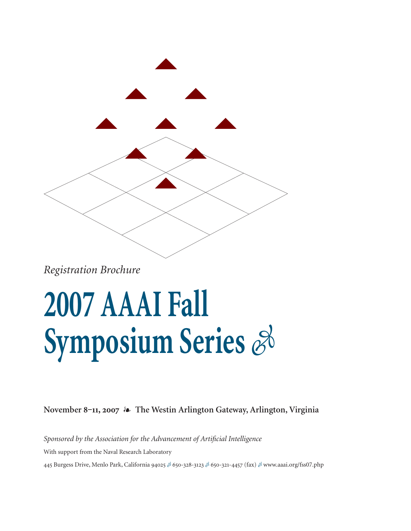

*Registration Brochure*

### **2007 AAAI Fall Symposium Series**  $\mathscr{E}$

**November 8‒11, 2007 The Westin Arlington Gateway, Arlington, Virginia**

*Sponsored by the Association for the Advancement of Artificial Intelligence* With support from the Naval Research Laboratory 445 Burgess Drive, Menlo Park, California 94025 & 650-328-3123 & 650-321-4457 (fax) & www.aaai.org/fss07.php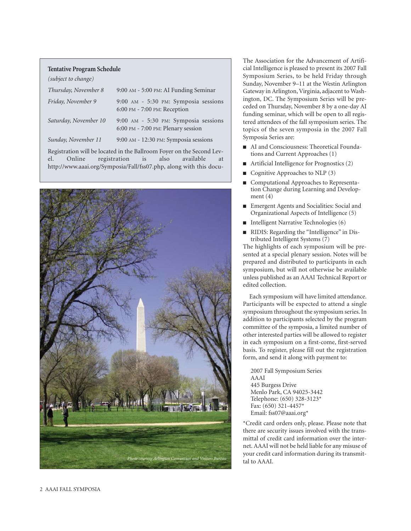### **Tentative Program Schedule**

| (subject to change)   |                                                                            |
|-----------------------|----------------------------------------------------------------------------|
| Thursday, November 8  | 9:00 AM - 5:00 PM: AI Funding Seminar                                      |
| Friday, November 9    | 9:00 AM - 5:30 PM: Symposia sessions<br>6:00 PM - 7:00 PM: Reception       |
| Saturday, November 10 | 9:00 AM - 5:30 PM: Symposia sessions<br>6:00 PM - 7:00 PM: Plenary session |
| Sunday, November 11   | 9:00 AM - 12:30 PM: Symposia sessions                                      |
|                       |                                                                            |

Registration will be located in the Ballroom Foyer on the Second Level. Online registration is also available at http://www.aaai.org/Symposia/Fall/fss07.php, along with this docu-



The Association for the Advancement of Artificial Intelligence is pleased to present its 2007 Fall Symposium Series, to be held Friday through Sunday, November 9–11 at the Westin Arlington Gateway in Arlington, Virginia, adjacent to Washington, DC. The Symposium Series will be preceded on Thursday, November 8 by a one-day AI funding seminar, which will be open to all registered attendees of the fall symposium series. The topics of the seven symposia in the 2007 Fall Symposia Series are:

- AI and Consciousness: Theoretical Foundations and Current Approaches (1)
- Artificial Intelligence for Prognostics (2)
- Cognitive Approaches to NLP (3)
- Computational Approaches to Representation Change during Learning and Development (4)
- Emergent Agents and Socialities: Social and Organizational Aspects of Intelligence (5)
- Intelligent Narrative Technologies (6)
- RIDIS: Regarding the "Intelligence" in Distributed Intelligent Systems (7)

The highlights of each symposium will be presented at a special plenary session. Notes will be prepared and distributed to participants in each symposium, but will not otherwise be available unless published as an AAAI Technical Report or edited collection.

Each symposium will have limited attendance. Participants will be expected to attend a single symposium throughout the symposium series. In addition to participants selected by the program committee of the symposia, a limited number of other interested parties will be allowed to register in each symposium on a first-come, first-served basis. To register, please fill out the registration form, and send it along with payment to:

2007 Fall Symposium Series AAAI 445 Burgess Drive Menlo Park, CA 94025-3442 Telephone: (650) 328-3123\* Fax: (650) 321-4457\* Email: fss07@aaai.org\*

\*Credit card orders only, please. Please note that there are security issues involved with the transmittal of credit card information over the internet. AAAI will not be held liable for any misuse of your credit card information during its transmittal to AAAI.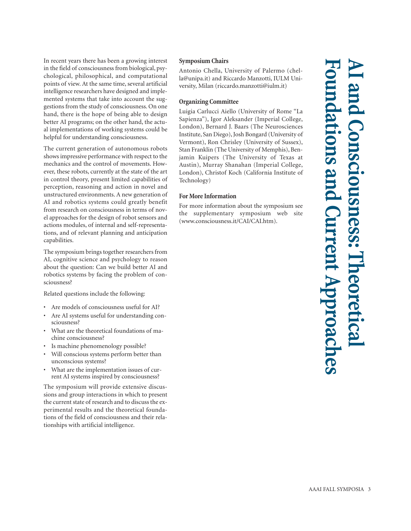In recent years there has been a growing interest in the field of consciousness from biological, psychological, philosophical, and computational points of view. At the same time, several artificial intelligence researchers have designed and implemented systems that take into account the suggestions from the study of consciousness. On one hand, there is the hope of being able to design better AI programs; on the other hand, the actual implementations of working systems could be helpful for understanding consciousness.

The current generation of autonomous robots shows impressive performance with respect to the mechanics and the control of movements. However, these robots, currently at the state of the art in control theory, present limited capabilities of perception, reasoning and action in novel and unstructured environments. A new generation of AI and robotics systems could greatly benefit from research on consciousness in terms of novel approaches for the design of robot sensors and actions modules, of internal and self-representations, and of relevant planning and anticipation capabilities.

The symposium brings together researchers from AI, cognitive science and psychology to reason about the question: Can we build better AI and robotics systems by facing the problem of consciousness?

Related questions include the following:

- Are models of consciousness useful for AI?
- Are AI systems useful for understanding consciousness?
- What are the theoretical foundations of machine consciousness?
- Is machine phenomenology possible?
- Will conscious systems perform better than unconscious systems?
- What are the implementation issues of current AI systems inspired by consciousness?

The symposium will provide extensive discussions and group interactions in which to present the current state of research and to discuss the experimental results and the theoretical foundations of the field of consciousness and their relationships with artificial intelligence.

### **Symposium Chairs**

Antonio Chella, University of Palermo (chella@unipa.it) and Riccardo Manzotti, IULM University, Milan (riccardo.manzotti@iulm.it)

### **Organizing Committee**

Luigia Carlucci Aiello (University of Rome "La Sapienza"), Igor Aleksander (Imperial College, London), Bernard J. Baars (The Neurosciences Institute, San Diego), Josh Bongard (University of Vermont), Ron Chrisley (University of Sussex), Stan Franklin (The University of Memphis), Benjamin Kuipers (The University of Texas at Austin), Murray Shanahan (Imperial College, London), Christof Koch (California Institute of Technology)

### **For More Information**

For more information about the symposium see the supplementary symposium web site (www.consciousness.it/CAI/CAI.htm).

**AI and Consciousness: Theoretical Foundations and Current Approaches** nsciousness: **S am** rent Approach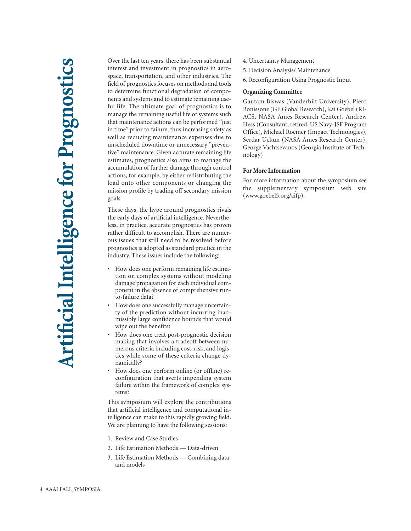Over the last ten years, there has been substantial interest and investment in prognostics in aerospace, transportation, and other industries. The field of prognostics focuses on methods and tools to determine functional degradation of components and systems and to estimate remaining useful life. The ultimate goal of prognostics is to manage the remaining useful life of systems such that maintenance actions can be performed "just in time" prior to failure, thus increasing safety as well as reducing maintenance expenses due to unscheduled downtime or unnecessary "preventive" maintenance. Given accurate remaining life estimates, prognostics also aims to manage the accumulation of further damage through control actions, for example, by either redistributing the load onto other components or changing the mission profile by trading off secondary mission goals.

These days, the hype around prognostics rivals the early days of artificial intelligence. Nevertheless, in practice, accurate prognostics has proven rather difficult to accomplish. There are numerous issues that still need to be resolved before prognostics is adopted as standard practice in the industry. These issues include the following:

- How does one perform remaining life estimation on complex systems without modeling damage propagation for each individual component in the absence of comprehensive runto-failure data?
- How does one successfully manage uncertainty of the prediction without incurring inadmissibly large confidence bounds that would wipe out the benefits?
- How does one treat post-prognostic decision making that involves a tradeoff between numerous criteria including cost, risk, and logistics while some of these criteria change dynamically?
- How does one perform online (or offline) reconfiguration that averts impending system failure within the framework of complex systems?

This symposium will explore the contributions that artificial intelligence and computational intelligence can make to this rapidly growing field. We are planning to have the following sessions:

- 1. Review and Case Studies
- 2. Life Estimation Methods Data-driven
- 3. Life Estimation Methods Combining data and models
- 4. Uncertainty Management
- 5. Decision Analysis/ Maintenance
- 6. Reconfiguration Using Prognostic Input

### **Organizing Committee**

Gautam Biswas (Vanderbilt University), Piero Bonissone (GE Global Research), Kai Goebel (RI-ACS, NASA Ames Research Center), Andrew Hess (Consultant, retired, US Navy-JSF Program Office), Michael Roemer (Impact Technologies), Serdar Uckun (NASA Ames Research Center), George Vachtsevanos (Georgia Institute of Technology)

### **For More Information**

For more information about the symposium see the supplementary symposium web site (www.goebel5.org/aifp).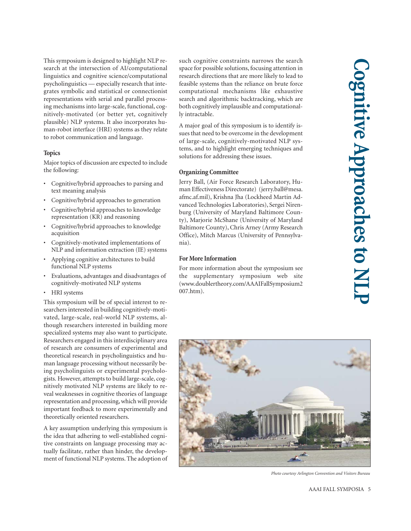This symposium is designed to highlight NLP research at the intersection of AI/computational linguistics and cognitive science/computational psycholinguistics — especially research that integrates symbolic and statistical or connectionist representations with serial and parallel processing mechanisms into large-scale, functional, cognitively-motivated (or better yet, cognitively plausible) NLP systems. It also incorporates human-robot interface (HRI) systems as they relate to robot communication and language.

### **Topics**

Major topics of discussion are expected to include the following:

- Cognitive/hybrid approaches to parsing and text meaning analysis
- Cognitive/hybrid approaches to generation
- Cognitive/hybrid approaches to knowledge representation (KR) and reasoning
- Cognitive/hybrid approaches to knowledge acquisition
- Cognitively-motivated implementations of NLP and information extraction (IE) systems
- Applying cognitive architectures to build functional NLP systems
- Evaluations, advantages and disadvantages of cognitively-motivated NLP systems
- HRI systems

This symposium will be of special interest to researchers interested in building cognitively-motivated, large-scale, real-world NLP systems, although researchers interested in building more specialized systems may also want to participate. Researchers engaged in this interdisciplinary area of research are consumers of experimental and theoretical research in psycholinguistics and human language processing without necessarily being psycholinguists or experimental psychologists. However, attempts to build large-scale, cognitively motivated NLP systems are likely to reveal weaknesses in cognitive theories of language representation and processing, which will provide important feedback to more experimentally and theoretically oriented researchers.

A key assumption underlying this symposium is the idea that adhering to well-established cognitive constraints on language processing may actually facilitate, rather than hinder, the development of functional NLP systems. The adoption of such cognitive constraints narrows the search space for possible solutions, focusing attention in research directions that are more likely to lead to feasible systems than the reliance on brute force computational mechanisms like exhaustive search and algorithmic backtracking, which are both cognitively implausible and computationally intractable.

A major goal of this symposium is to identify issues that need to be overcome in the development of large-scale, cognitively-motivated NLP systems, and to highlight emerging techniques and solutions for addressing these issues.

### **Organizing Committee**

Jerry Ball, (Air Force Research Laboratory, Human Effectiveness Directorate) (jerry.ball@mesa. afmc.af.mil), Krishna Jha (Lockheed Martin Advanced Technologies Laboratories), Sergei Nirenburg (University of Maryland Baltimore County), Marjorie McShane (University of Maryland Baltimore County), Chris Arney (Army Research Office), Mitch Marcus (University of Pennsylvania).

### **For More Information**

For more information about the symposium see the supplementary symposium web site (www.doublertheory.com/AAAIFallSymposium2 007.htm).



*Photo courtesy Arlington Convention and Visitors Bureau*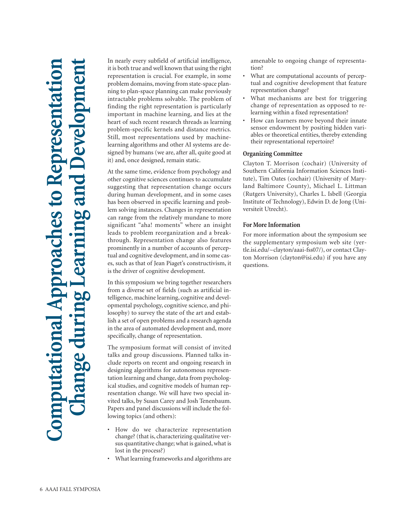# **Computational Approaches to Representation Change during Learning and Development Imputational Approaches to Representation** ng and

In nearly every subfield of artificial intelligence, it is both true and well known that using the right representation is crucial. For example, in some problem domains, moving from state-space planning to plan-space planning can make previously intractable problems solvable. The problem of finding the right representation is particularly important in machine learning, and lies at the heart of such recent research threads as learning problem-specific kernels and distance metrics. Still, most representations used by machinelearning algorithms and other AI systems are designed by humans (we are, after all, quite good at it) and, once designed, remain static.

At the same time, evidence from psychology and other cognitive sciences continues to accumulate suggesting that representation change occurs during human development, and in some cases has been observed in specific learning and problem solving instances. Changes in representation can range from the relatively mundane to more significant "aha! moments" where an insight leads to problem reorganization and a breakthrough. Representation change also features prominently in a number of accounts of perceptual and cognitive development, and in some cases, such as that of Jean Piaget's constructivism, it is the driver of cognitive development.

In this symposium we bring together researchers from a diverse set of fields (such as artificial intelligence, machine learning, cognitive and developmental psychology, cognitive science, and philosophy) to survey the state of the art and establish a set of open problems and a research agenda in the area of automated development and, more specifically, change of representation.

The symposium format will consist of invited talks and group discussions. Planned talks include reports on recent and ongoing research in designing algorithms for autonomous representation learning and change, data from psychological studies, and cognitive models of human representation change. We will have two special invited talks, by Susan Carey and Josh Tenenbaum. Papers and panel discussions will include the following topics (and others):

- How do we characterize representation change? (that is, characterizing qualitative versus quantitative change; what is gained, what is lost in the process?)
- What learning frameworks and algorithms are

amenable to ongoing change of representation?

- What are computational accounts of perceptual and cognitive development that feature representation change?
- What mechanisms are best for triggering change of representation as opposed to relearning within a fixed representation?
- How can learners move beyond their innate sensor endowment by positing hidden variables or theoretical entities, thereby extending their representational repertoire?

### **Organizing Committee**

Clayton T. Morrison (cochair) (University of Southern California Information Sciences Institute), Tim Oates (cochair) (University of Maryland Baltimore County), Michael L. Littman (Rutgers University), Charles L. Isbell (Georgia Institute of Technology), Edwin D. de Jong (Universiteit Utrecht).

### **For More Information**

For more information about the symposium see the supplementary symposium web site (yertle.isi.edu/~clayton/aaai-fss07/), or contact Clayton Morrison (clayton@isi.edu) if you have any questions.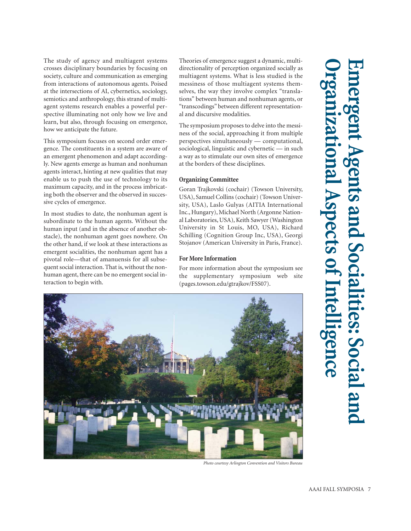The study of agency and multiagent systems crosses disciplinary boundaries by focusing on society, culture and communication as emerging from interactions of autonomous agents. Poised at the intersections of AI, cybernetics, sociology, semiotics and anthropology, this strand of multiagent systems research enables a powerful perspective illuminating not only how we live and learn, but also, through focusing on emergence, how we anticipate the future.

This symposium focuses on second order emergence. The constituents in a system are aware of an emergent phenomenon and adapt accordingly. New agents emerge as human and nonhuman agents interact, hinting at new qualities that may enable us to push the use of technology to its maximum capacity, and in the process imbricating both the observer and the observed in successive cycles of emergence.

In most studies to date, the nonhuman agent is subordinate to the human agents. Without the human input (and in the absence of another obstacle), the nonhuman agent goes nowhere. On the other hand, if we look at these interactions as emergent socialities, the nonhuman agent has a pivotal role—that of amanuensis for all subsequent social interaction. That is, without the nonhuman agent, there can be no emergent social interaction to begin with.

Theories of emergence suggest a dynamic, multidirectionality of perception organized socially as multiagent systems. What is less studied is the messiness of those multiagent systems themselves, the way they involve complex "translations" between human and nonhuman agents, or "transcodings" between different representational and discursive modalities.

The symposium proposes to delve into the messiness of the social, approaching it from multiple perspectives simultaneously — computational, sociological, linguistic and cybernetic — in such a way as to stimulate our own sites of emergence at the borders of these disciplines.

### **Organizing Committee**

Goran Trajkovski (cochair) (Towson University, USA), Samuel Collins (cochair) (Towson University, USA), Laslo Gulyas (AITIA International Inc., Hungary), Michael North (Argonne National Laboratories, USA), Keith Sawyer (Washington University in St Louis, MO, USA), Richard Schilling (Cognition Group Inc, USA), Georgi Stojanov (American University in Paris, France).

### **For More Information**

For more information about the symposium see the supplementary symposium web site (pages.towson.edu/gtrajkov/FSS07).



*Photo courtesy Arlington Convention and Visitors Bureau*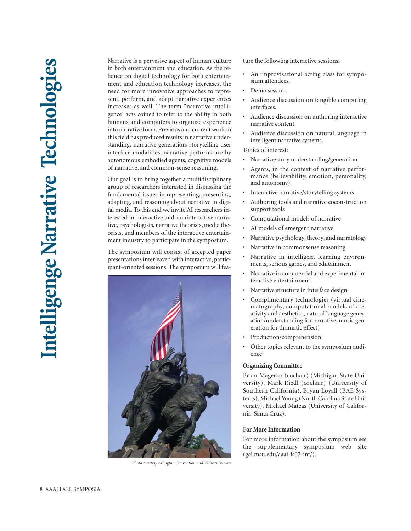Narrative is a pervasive aspect of human culture in both entertainment and education. As the reliance on digital technology for both entertainment and education technology increases, the need for more innovative approaches to represent, perform, and adapt narrative experiences increases as well. The term "narrative intelligence" was coined to refer to the ability in both humans and computers to organize experience into narrative form. Previous and current work in this field has produced results in narrative understanding, narrative generation, storytelling user interface modalities, narrative performance by autonomous embodied agents, cognitive models of narrative, and common-sense reasoning.

Our goal is to bring together a multidisciplinary group of researchers interested in discussing the fundamental issues in representing, presenting, adapting, and reasoning about narrative in digital media. To this end we invite AI researchers interested in interactive and noninteractive narrative, psychologists, narrative theorists, media theorists, and members of the interactive entertainment industry to participate in the symposium.

The symposium will consist of accepted paper presentations interleaved with interactive, participant-oriented sessions. The symposium will fea-



*Photo courtesy Arlington Convention and Visitors Bureau*

ture the following interactive sessions:

- An improvisational acting class for symposium attendees.
- Demo session
- Audience discussion on tangible computing interfaces.
- Audience discussion on authoring interactive narrative content.
- Audience discussion on natural language in intelligent narrative systems.

Topics of interest:

- Narrative/story understanding/generation
- Agents, in the context of narrative performance (believability, emotion, personality, and autonomy)
- Interactive narrative/storytelling systems
- Authoring tools and narrative coconstruction support tools
- Computational models of narrative
- AI models of emergent narrative
- Narrative psychology, theory, and narratology
- Narrative in commonsense reasoning
- Narrative in intelligent learning environments, serious games, and edutainment
- Narrative in commercial and experimental interactive entertainment
- Narrative structure in interface design
- Complimentary technologies (virtual cinematography, computational models of creativity and aesthetics, natural language generation/understanding for narrative, music generation for dramatic effect)
- Production/comprehension
- Other topics relevant to the symposium audience

### **Organizing Committee**

Brian Magerko (cochair) (Michigan State University), Mark Riedl (cochair) (University of Southern California), Bryan Loyall (BAE Systems), Michael Young (North Carolina State University), Michael Mateas (University of California, Santa Cruz).

### **For More Information**

For more information about the symposium see the supplementary symposium web site (gel.msu.edu/aaai-fs07-int/).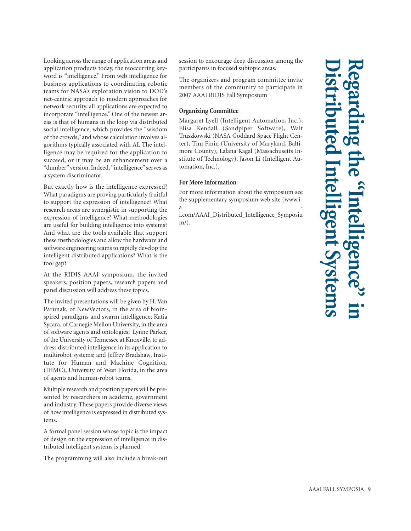Looking across the range of application areas and application products today, the reoccurring keyword is "intelligence." From web intelligence for business applications to coordinating robotic teams for NASA's exploration vision to DOD's net-centric approach to modern approaches for network security, all applications are expected to incorporate "intelligence." One of the newest areas is that of humans in the loop via distributed social intelligence, which provides the "wisdom of the crowds," and whose calculation involves algorithms typically associated with AI. The intelligence may be required for the application to succeed, or it may be an enhancement over a "dumber" version. Indeed, "intelligence" serves as a system discriminator.

But exactly how is the intelligence expressed? What paradigms are proving particularly fruitful to support the expression of intelligence? What research areas are synergistic in supporting the expression of intelligence? What methodologies are useful for building intelligence into systems? And what are the tools available that support these methodologies and allow the hardware and software engineering teams to rapidly develop the intelligent distributed applications? What is the tool gap?

At the RIDIS AAAI symposium, the invited speakers, position papers, research papers and panel discussion will address these topics.

The invited presentations will be given by H. Van Parunak, of NewVectors, in the area of bioinspired paradigms and swarm intelligence; Katia Sycara, of Carnegie Mellon University, in the area of software agents and ontologies; Lynne Parker, of the University of Tennessee at Knoxville, to address distributed intelligence in its application to multirobot systems; and Jeffrey Bradshaw, Institute for Human and Machine Cognition, (IHMC), University of West Florida, in the area of agents and human-robot teams.

Multiple research and position papers will be presented by researchers in academe, government and industry. These papers provide diverse views of how intelligence is expressed in distributed systems.

A formal panel session whose topic is the impact of design on the expression of intelligence in distributed intelligent systems is planned.

The programming will also include a break-out

session to encourage deep discussion among the participants in focused subtopic areas.

The organizers and program committee invite members of the community to participate in 2007 AAAI RIDIS Fall Symposium

### **Organizing Committee**

Margaret Lyell (Intelligent Automation, Inc.), Elisa Kendall (Sandpiper Software), Walt Truszkowski (NASA Goddard Space Flight Center), Tim Finin (University of Maryland, Baltimore County), Lalana Kagal (Massachusetts Institute of Technology), Jason Li (Intelligent Automation, Inc.).

### **For More Information**

For more information about the symposium see the supplementary symposium web site (www.i $a \sim$ 

i.com/AAAI\_Distributed\_Intelligence\_Symposiu m/).

## **Distributed Intelligent Systems Regarding the "Intelligence" in**  t Syste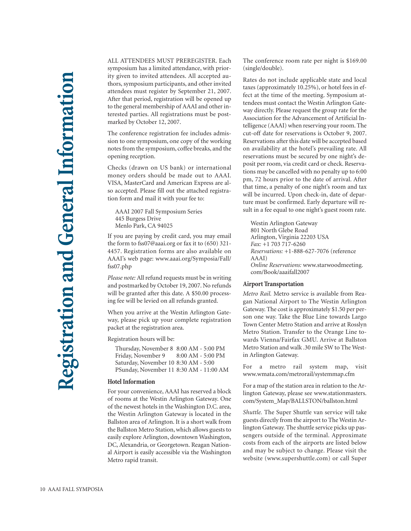ALL ATTENDEES MUST PREREGISTER. Each symposium has a limited attendance, with priority given to invited attendees. All accepted authors, symposium participants, and other invited attendees must register by September 21, 2007. After that period, registration will be opened up to the general membership of AAAI and other interested parties. All registrations must be postmarked by October 12, 2007.

The conference registration fee includes admission to one symposium, one copy of the working notes from the symposium, coffee breaks, and the opening reception.

Checks (drawn on US bank) or international money orders should be made out to AAAI. VISA, MasterCard and American Express are also accepted. Please fill out the attached registration form and mail it with your fee to:

AAAI 2007 Fall Symposium Series 445 Burgess Drive Menlo Park, CA 94025

If you are paying by credit card, you may email the form to fss07@aaai.org or fax it to (650) 321- 4457. Registration forms are also available on AAAI's web page: www.aaai.org/Symposia/Fall/ fss07.php

*Please note:* All refund requests must be in writing and postmarked by October 19, 2007. No refunds will be granted after this date. A \$50.00 processing fee will be levied on all refunds granted.

When you arrive at the Westin Arlington Gateway, please pick up your complete registration packet at the registration area.

Registration hours will be:

Thursday, November 8 8:00 AM - 5:00 PM Friday, November 9 8:00 AM - 5:00 PM Saturday, November 10 8:30 AM - 5:00 PSunday, November 11 8:30 AM - 11:00 AM

### **Hotel Information**

For your convenience, AAAI has reserved a block of rooms at the Westin Arlington Gateway. One of the newest hotels in the Washington D.C. area, the Westin Arlington Gateway is located in the Ballston area of Arlington. It is a short walk from the Ballston Metro Station, which allows guests to easily explore Arlington, downtown Washington, DC, Alexandria, or Georgetown. Reagan National Airport is easily accessible via the Washington Metro rapid transit.

The conference room rate per night is \$169.00 (single/double).

Rates do not include applicable state and local taxes (approximately 10.25%), or hotel fees in effect at the time of the meeting. Symposium attendees must contact the Westin Arlington Gateway directly. Please request the group rate for the Association for the Advancement of Artificial Intelligence (AAAI) when reserving your room. The cut-off date for reservations is October 9, 2007. Reservations after this date will be accepted based on availability at the hotel's prevailing rate. All reservations must be secured by one night's deposit per room, via credit card or check. Reservations may be cancelled with no penalty up to 6:00 pm, 72 hours prior to the date of arrival. After that time, a penalty of one night's room and tax will be incurred. Upon check-in, date of departure must be confirmed. Early departure will result in a fee equal to one night's guest room rate.

Westin Arlington Gateway 801 North Glebe Road Arlington, Virginia 22203 USA *Fax:* +1 703 717-6260 *Reservations:* +1-888-627-7076 (reference AAAI) *Online Reservations:* www.starwoodmeeting. com/Book/aaaifall2007

### **Airport Transportation**

*Metro Rail.* Metro service is available from Reagan National Airport to The Westin Arlington Gateway. The cost is approximately \$1.50 per person one way. Take the Blue Line towards Largo Town Center Metro Station and arrive at Rosslyn Metro Station. Transfer to the Orange Line towards Vienna/Fairfax GMU. Arrive at Ballston Metro Station and walk .30 mile SW to The Westin Arlington Gateway.

For a metro rail system map, visit www.wmata.com/metrorail/systemmap.cfm

For a map of the station area in relation to the Arlington Gateway, please see www.stationmasters. com/System\_Map/BALLSTON/ballston.html

*Shuttle.* The Super Shuttle van service will take guests directly from the airport to The Westin Arlington Gateway. The shuttle service picks up passengers outside of the terminal. Approximate costs from each of the airports are listed below and may be subject to change. Please visit the website (www.supershuttle.com) or call Super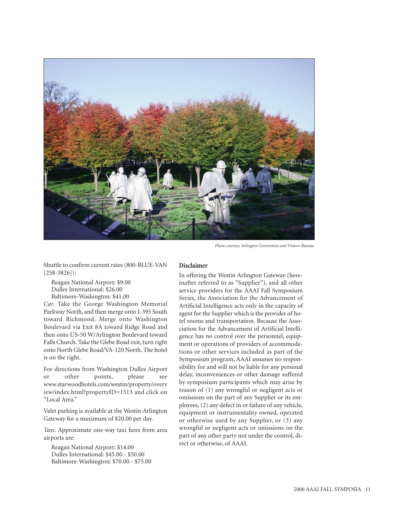

*Photo courtesy Arlington Convention and Visitors Bureau*

Shuttle to confirm current rates (800-BLUE-VAN [258-3826]):

Reagan National Airport: \$9.00 Dulles International: \$26.00 Baltimore-Washington: \$41.00

*Car.* Take the George Washington Memorial Parkway North, and then merge onto I-395 South toward Richmond. Merge onto Washington Boulevard via Exit 8A toward Ridge Road and then onto US-50 W/Arlington Boulevard toward Falls Church. Take the Glebe Road exit, turn right onto North Glebe Road/VA-120 North. The hotel is on the right.

For directions from Washington Dulles Airport or other points, please see www.starwoodhotels.com/westin/property/overv iew/index.html?propertyID=1513 and click on "Local Area."

Valet parking is available at the Westin Arlington Gateway for a maximum of \$20.00 per day.

*Taxi.* Approximate one-way taxi fares from area airports are:

Reagan National Airport: \$14.00 Dulles International: \$45.00 - \$50.00 Baltimore-Washington: \$70.00 - \$75.00

### **Disclaimer**

In offering the Westin Arlington Gateway (hereinafter referred to as "Supplier"), and all other service providers for the AAAI Fall Symposium Series, the Association for the Advancement of Artificial Intelligence acts only in the capacity of agent for the Supplier which is the provider of hotel rooms and transportation. Because the Association for the Advancement of Artificial Intelligence has no control over the personnel, equipment or operations of providers of accommodations or other services included as part of the Symposium program, AAAI assumes no responsibility for and will not be liable for any personal delay, inconveniences or other damage suffered by symposium participants which may arise by reason of (1) any wrongful or negligent acts or omissions on the part of any Supplier or its employees, (2) any defect in or failure of any vehicle, equipment or instrumentality owned, operated or otherwise used by any Supplier, or (3) any wrongful or negligent acts or omissions on the part of any other party not under the control, direct or otherwise, of AAAI.